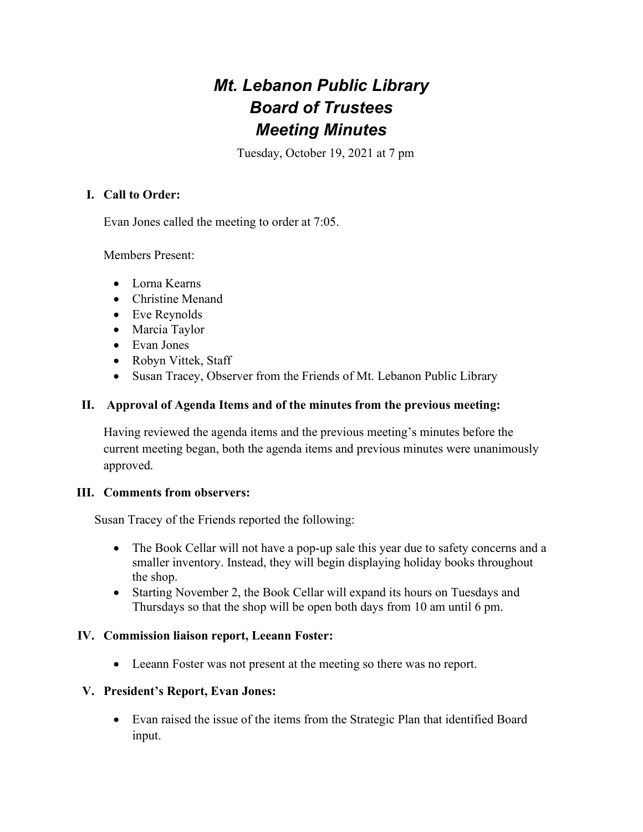# Mt. Lebanon Public Library Board of Trustees Meeting Minutes

Tuesday, October 19, 2021 at 7 pm

# I. Call to Order:

Evan Jones called the meeting to order at 7:05.

Members Present:

- Lorna Kearns
- Christine Menand
- Eve Reynolds
- Marcia Taylor
- Evan Jones
- Robyn Vittek, Staff
- Susan Tracey, Observer from the Friends of Mt. Lebanon Public Library

### II. Approval of Agenda Items and of the minutes from the previous meeting:

Having reviewed the agenda items and the previous meeting's minutes before the current meeting began, both the agenda items and previous minutes were unanimously approved.

### III. Comments from observers:

Susan Tracey of the Friends reported the following:

- The Book Cellar will not have a pop-up sale this year due to safety concerns and a smaller inventory. Instead, they will begin displaying holiday books throughout the shop.
- Starting November 2, the Book Cellar will expand its hours on Tuesdays and Thursdays so that the shop will be open both days from 10 am until 6 pm.

### IV. Commission liaison report, Leeann Foster:

Leeann Foster was not present at the meeting so there was no report.

### V. President's Report, Evan Jones:

 Evan raised the issue of the items from the Strategic Plan that identified Board input.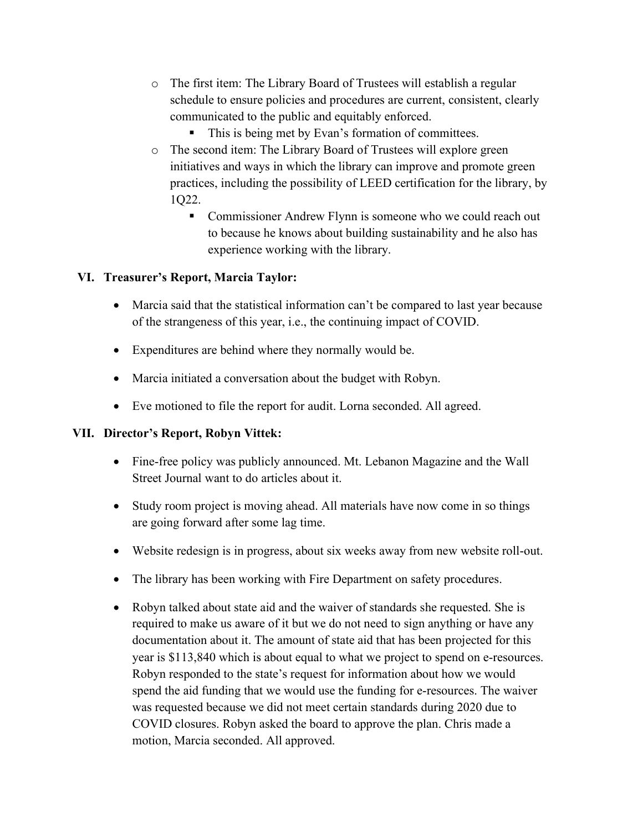- o The first item: The Library Board of Trustees will establish a regular schedule to ensure policies and procedures are current, consistent, clearly communicated to the public and equitably enforced.
	- This is being met by Evan's formation of committees.
- o The second item: The Library Board of Trustees will explore green initiatives and ways in which the library can improve and promote green practices, including the possibility of LEED certification for the library, by 1Q22.
	- **Commissioner Andrew Flynn is someone who we could reach out** to because he knows about building sustainability and he also has experience working with the library.

### VI. Treasurer's Report, Marcia Taylor:

- Marcia said that the statistical information can't be compared to last year because of the strangeness of this year, i.e., the continuing impact of COVID.
- Expenditures are behind where they normally would be.
- Marcia initiated a conversation about the budget with Robyn.
- Eve motioned to file the report for audit. Lorna seconded. All agreed.

### VII. Director's Report, Robyn Vittek:

- Fine-free policy was publicly announced. Mt. Lebanon Magazine and the Wall Street Journal want to do articles about it.
- Study room project is moving ahead. All materials have now come in so things are going forward after some lag time.
- Website redesign is in progress, about six weeks away from new website roll-out.
- The library has been working with Fire Department on safety procedures.
- Robyn talked about state aid and the waiver of standards she requested. She is required to make us aware of it but we do not need to sign anything or have any documentation about it. The amount of state aid that has been projected for this year is \$113,840 which is about equal to what we project to spend on e-resources. Robyn responded to the state's request for information about how we would spend the aid funding that we would use the funding for e-resources. The waiver was requested because we did not meet certain standards during 2020 due to COVID closures. Robyn asked the board to approve the plan. Chris made a motion, Marcia seconded. All approved.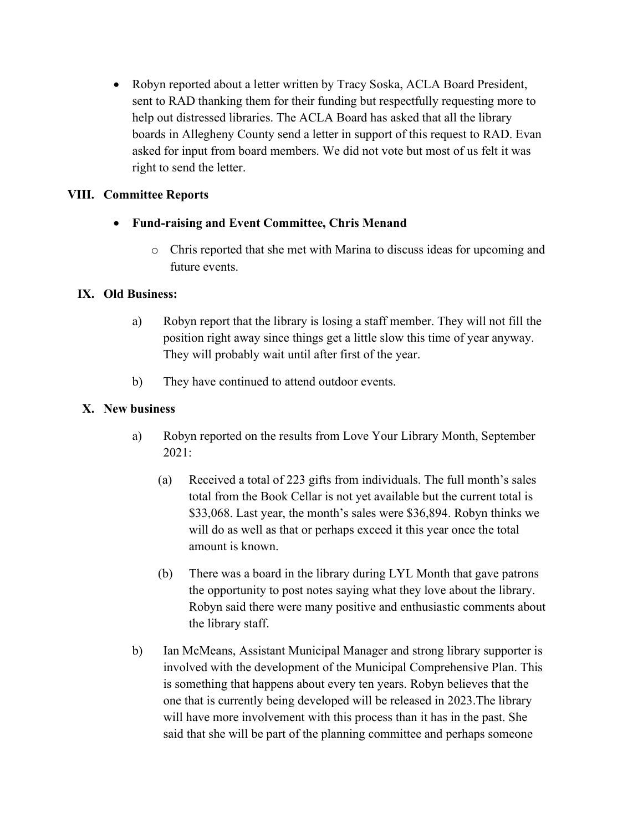Robyn reported about a letter written by Tracy Soska, ACLA Board President, sent to RAD thanking them for their funding but respectfully requesting more to help out distressed libraries. The ACLA Board has asked that all the library boards in Allegheny County send a letter in support of this request to RAD. Evan asked for input from board members. We did not vote but most of us felt it was right to send the letter.

# VIII. Committee Reports

- Fund-raising and Event Committee, Chris Menand
	- o Chris reported that she met with Marina to discuss ideas for upcoming and future events.

### IX. Old Business:

- a) Robyn report that the library is losing a staff member. They will not fill the position right away since things get a little slow this time of year anyway. They will probably wait until after first of the year.
- b) They have continued to attend outdoor events.

### X. New business

- a) Robyn reported on the results from Love Your Library Month, September 2021:
	- (a) Received a total of 223 gifts from individuals. The full month's sales total from the Book Cellar is not yet available but the current total is \$33,068. Last year, the month's sales were \$36,894. Robyn thinks we will do as well as that or perhaps exceed it this year once the total amount is known.
	- (b) There was a board in the library during LYL Month that gave patrons the opportunity to post notes saying what they love about the library. Robyn said there were many positive and enthusiastic comments about the library staff.
- b) Ian McMeans, Assistant Municipal Manager and strong library supporter is involved with the development of the Municipal Comprehensive Plan. This is something that happens about every ten years. Robyn believes that the one that is currently being developed will be released in 2023.The library will have more involvement with this process than it has in the past. She said that she will be part of the planning committee and perhaps someone